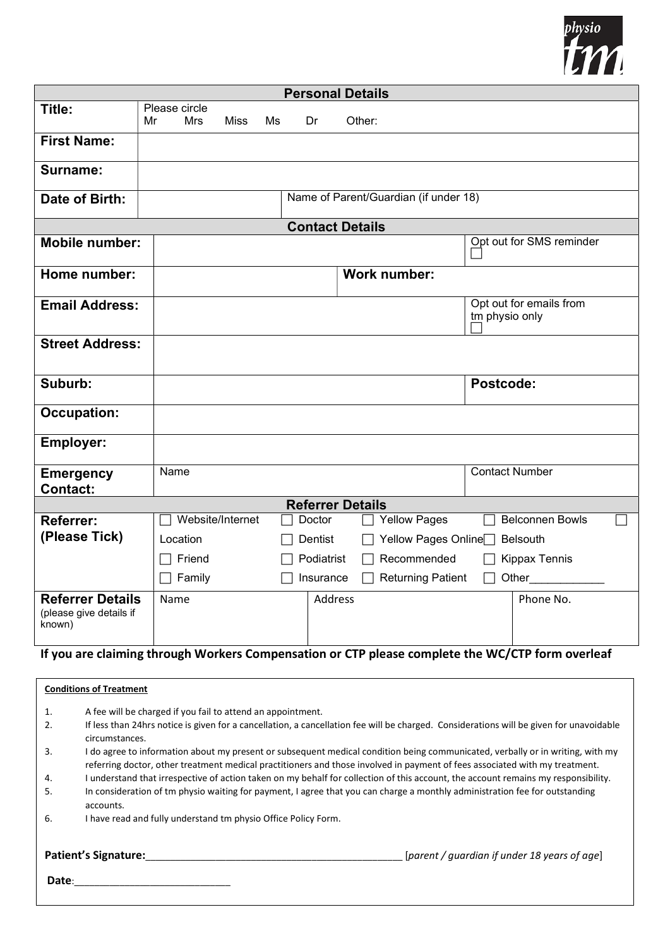

| <b>Personal Details</b>                                      |                                                                                                  |                                               |  |  |  |  |
|--------------------------------------------------------------|--------------------------------------------------------------------------------------------------|-----------------------------------------------|--|--|--|--|
| Title:                                                       | Please circle<br>Mr<br><b>Mrs</b><br>Other:<br>Miss<br>Ms<br>Dr                                  |                                               |  |  |  |  |
| <b>First Name:</b>                                           |                                                                                                  |                                               |  |  |  |  |
| Surname:                                                     |                                                                                                  |                                               |  |  |  |  |
| Date of Birth:                                               |                                                                                                  | Name of Parent/Guardian (if under 18)         |  |  |  |  |
| <b>Contact Details</b>                                       |                                                                                                  |                                               |  |  |  |  |
| <b>Mobile number:</b>                                        |                                                                                                  | Opt out for SMS reminder                      |  |  |  |  |
| Home number:                                                 |                                                                                                  | <b>Work number:</b>                           |  |  |  |  |
| <b>Email Address:</b>                                        |                                                                                                  | Opt out for emails from<br>tm physio only     |  |  |  |  |
| <b>Street Address:</b>                                       |                                                                                                  |                                               |  |  |  |  |
| Suburb:                                                      |                                                                                                  | Postcode:                                     |  |  |  |  |
| <b>Occupation:</b>                                           |                                                                                                  |                                               |  |  |  |  |
| Employer:                                                    |                                                                                                  |                                               |  |  |  |  |
| <b>Emergency</b><br><b>Contact:</b>                          | Name                                                                                             | <b>Contact Number</b>                         |  |  |  |  |
| <b>Referrer Details</b>                                      |                                                                                                  |                                               |  |  |  |  |
| Referrer:                                                    | Website/Internet<br>Doctor                                                                       | <b>Yellow Pages</b><br><b>Belconnen Bowls</b> |  |  |  |  |
| (Please Tick)                                                | Location<br>Dentist                                                                              | Yellow Pages Online<br>Belsouth               |  |  |  |  |
|                                                              | Friend<br>Podiatrist                                                                             | Recommended<br><b>Kippax Tennis</b>           |  |  |  |  |
|                                                              | Family<br>Insurance<br>$\overline{\phantom{0}}$                                                  | <b>Returning Patient</b><br>Other             |  |  |  |  |
| <b>Referrer Details</b><br>(please give details if<br>known) | Address<br>Name                                                                                  | Phone No.                                     |  |  |  |  |
|                                                              | If you are claiming through Werkers Componsation or CTD places complete the WC/CTD form overloaf |                                               |  |  |  |  |

## you are claiming through Workers Compensation or CTP please complete the WC/CTP form overleaf

| <b>Conditions of Treatment</b> |                                                                                                                                                                                                                                                               |                                              |  |  |  |
|--------------------------------|---------------------------------------------------------------------------------------------------------------------------------------------------------------------------------------------------------------------------------------------------------------|----------------------------------------------|--|--|--|
| 1.                             | A fee will be charged if you fail to attend an appointment.                                                                                                                                                                                                   |                                              |  |  |  |
| 2.                             | If less than 24 hrs notice is given for a cancellation, a cancellation fee will be charged. Considerations will be given for unavoidable<br>circumstances.                                                                                                    |                                              |  |  |  |
| 3.                             | I do agree to information about my present or subsequent medical condition being communicated, verbally or in writing, with my<br>referring doctor, other treatment medical practitioners and those involved in payment of fees associated with my treatment. |                                              |  |  |  |
| 4.                             | I understand that irrespective of action taken on my behalf for collection of this account, the account remains my responsibility.                                                                                                                            |                                              |  |  |  |
| 5.                             | In consideration of tm physio waiting for payment, I agree that you can charge a monthly administration fee for outstanding<br>accounts.                                                                                                                      |                                              |  |  |  |
| 6.                             | I have read and fully understand tm physio Office Policy Form.                                                                                                                                                                                                |                                              |  |  |  |
|                                | <b>Patient's Signature:</b>                                                                                                                                                                                                                                   | [parent / guardian if under 18 years of age] |  |  |  |
| Date:                          |                                                                                                                                                                                                                                                               |                                              |  |  |  |